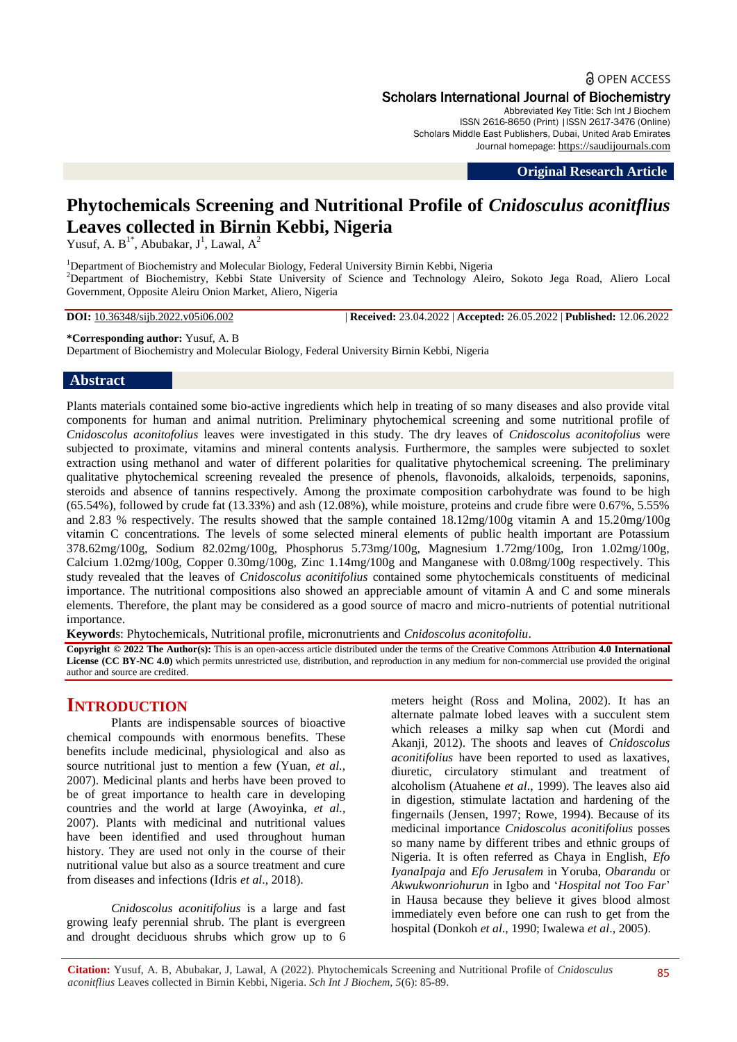**a** OPEN ACCESS Scholars International Journal of Biochemistry

Abbreviated Key Title: Sch Int J Biochem ISSN 2616-8650 (Print) |ISSN 2617-3476 (Online) Scholars Middle East Publishers, Dubai, United Arab Emirates Journal homepage: [https://saudijournals.com](https://saudijournals.com/sijb)

**Original Research Article**

# **Phytochemicals Screening and Nutritional Profile of** *Cnidosculus aconitflius* **Leaves collected in Birnin Kebbi, Nigeria**

Yusuf, A.  $B^{1*}$ , Abubakar, J<sup>1</sup>, Lawal, A<sup>2</sup>

<sup>1</sup>Department of Biochemistry and Molecular Biology, Federal University Birnin Kebbi, Nigeria <sup>2</sup>Department of Biochemistry, Kebbi State University of Science and Technology Aleiro, Sokoto Jega Road, Aliero Local Government, Opposite Aleiru Onion Market, Aliero, Nigeria

**DOI:** 10.36348/sijb.2022.v05i06.002 | **Received:** 23.04.2022 | **Accepted:** 26.05.2022 | **Published:** 12.06.2022

# **\*Corresponding author:** Yusuf, A. B

Department of Biochemistry and Molecular Biology, Federal University Birnin Kebbi, Nigeria

# **Abstract**

Plants materials contained some bio-active ingredients which help in treating of so many diseases and also provide vital components for human and animal nutrition. Preliminary phytochemical screening and some nutritional profile of *Cnidoscolus aconitofolius* leaves were investigated in this study. The dry leaves of *Cnidoscolus aconitofolius* were subjected to proximate, vitamins and mineral contents analysis. Furthermore, the samples were subjected to soxlet extraction using methanol and water of different polarities for qualitative phytochemical screening. The preliminary qualitative phytochemical screening revealed the presence of phenols, flavonoids, alkaloids, terpenoids, saponins, steroids and absence of tannins respectively. Among the proximate composition carbohydrate was found to be high (65.54%), followed by crude fat (13.33%) and ash (12.08%), while moisture, proteins and crude fibre were 0.67%, 5.55% and 2.83 % respectively. The results showed that the sample contained 18.12mg/100g vitamin A and 15.20mg/100g vitamin C concentrations. The levels of some selected mineral elements of public health important are Potassium 378.62mg/100g, Sodium 82.02mg/100g, Phosphorus 5.73mg/100g, Magnesium 1.72mg/100g, Iron 1.02mg/100g, Calcium 1.02mg/100g, Copper 0.30mg/100g, Zinc 1.14mg/100g and Manganese with 0.08mg/100g respectively. This study revealed that the leaves of *Cnidoscolus aconitifolius* contained some phytochemicals constituents of medicinal importance. The nutritional compositions also showed an appreciable amount of vitamin A and C and some minerals elements. Therefore, the plant may be considered as a good source of macro and micro-nutrients of potential nutritional importance.

**Keyword**s: Phytochemicals, Nutritional profile, micronutrients and *Cnidoscolus aconitofoliu*.

**Copyright © 2022 The Author(s):** This is an open-access article distributed under the terms of the Creative Commons Attribution **4.0 International License (CC BY-NC 4.0)** which permits unrestricted use, distribution, and reproduction in any medium for non-commercial use provided the original author and source are credited.

# **INTRODUCTION**

Plants are indispensable sources of bioactive chemical compounds with enormous benefits. These benefits include medicinal, physiological and also as source nutritional just to mention a few (Yuan, *et al.,*  2007). Medicinal plants and herbs have been proved to be of great importance to health care in developing countries and the world at large (Awoyinka, *et al.,*  2007). Plants with medicinal and nutritional values have been identified and used throughout human history. They are used not only in the course of their nutritional value but also as a source treatment and cure from diseases and infections (Idris *et al*., 2018).

*Cnidoscolus aconitifolius* is a large and fast growing leafy perennial shrub. The plant is evergreen and drought deciduous shrubs which grow up to 6 meters height (Ross and Molina, 2002). It has an alternate palmate lobed leaves with a succulent stem which releases a milky sap when cut (Mordi and Akanii, 2012). The shoots and leaves of *Cnidoscolus aconitifolius* have been reported to used as laxatives, diuretic, circulatory stimulant and treatment of alcoholism (Atuahene *et al*., 1999). The leaves also aid in digestion, stimulate lactation and hardening of the fingernails (Jensen, 1997; Rowe, 1994). Because of its medicinal importance *Cnidoscolus aconitifolius* posses so many name by different tribes and ethnic groups of Nigeria. It is often referred as Chaya in English, *Efo IyanaIpaja* and *Efo Jerusalem* in Yoruba, *Obarandu* or *Akwukwonriohurun* in Igbo and '*Hospital not Too Far*' in Hausa because they believe it gives blood almost immediately even before one can rush to get from the hospital (Donkoh *et al*., 1990; Iwalewa *et al*., 2005).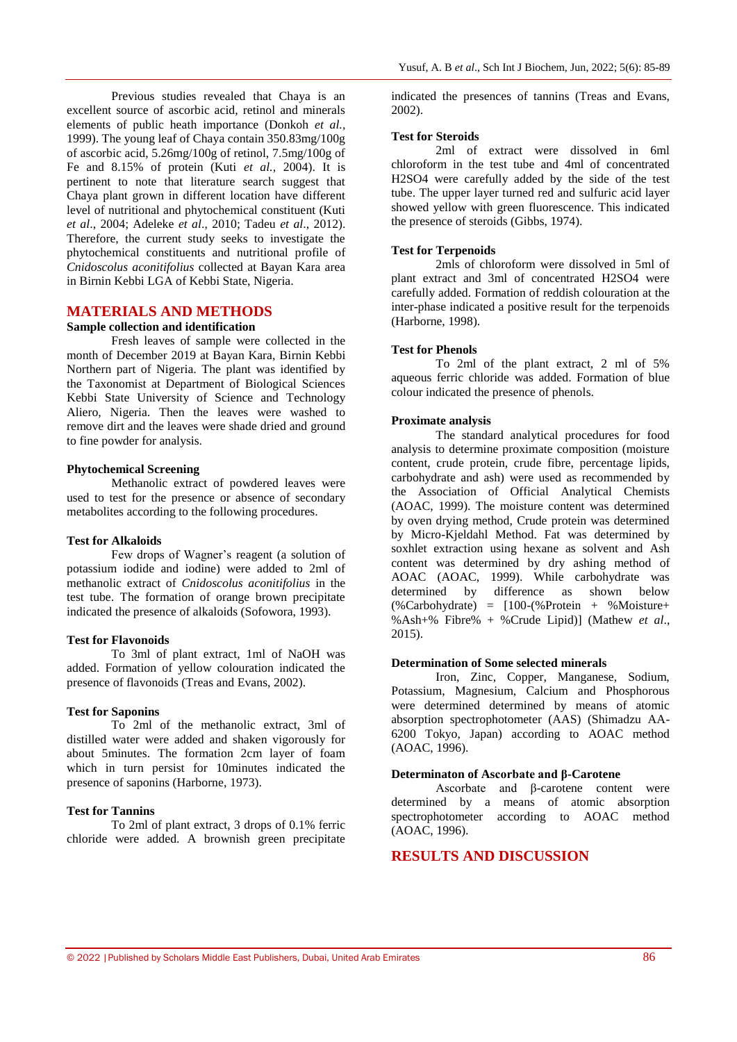Previous studies revealed that Chaya is an excellent source of ascorbic acid, retinol and minerals elements of public heath importance (Donkoh *et al.,*  1999). The young leaf of Chaya contain 350.83mg/100g of ascorbic acid, 5.26mg/100g of retinol, 7.5mg/100g of Fe and 8.15% of protein (Kuti *et al.,* 2004). It is pertinent to note that literature search suggest that Chaya plant grown in different location have different level of nutritional and phytochemical constituent (Kuti *et al*., 2004; Adeleke *et al*., 2010; Tadeu *et al*., 2012). Therefore, the current study seeks to investigate the phytochemical constituents and nutritional profile of *Cnidoscolus aconitifolius* collected at Bayan Kara area in Birnin Kebbi LGA of Kebbi State, Nigeria.

# **MATERIALS AND METHODS**

#### **Sample collection and identification**

Fresh leaves of sample were collected in the month of December 2019 at Bayan Kara, Birnin Kebbi Northern part of Nigeria. The plant was identified by the Taxonomist at Department of Biological Sciences Kebbi State University of Science and Technology Aliero, Nigeria. Then the leaves were washed to remove dirt and the leaves were shade dried and ground to fine powder for analysis.

#### **Phytochemical Screening**

Methanolic extract of powdered leaves were used to test for the presence or absence of secondary metabolites according to the following procedures.

#### **Test for Alkaloids**

Few drops of Wagner's reagent (a solution of potassium iodide and iodine) were added to 2ml of methanolic extract of *Cnidoscolus aconitifolius* in the test tube. The formation of orange brown precipitate indicated the presence of alkaloids (Sofowora, 1993).

#### **Test for Flavonoids**

To 3ml of plant extract, 1ml of NaOH was added. Formation of yellow colouration indicated the presence of flavonoids (Treas and Evans, 2002).

#### **Test for Saponins**

To 2ml of the methanolic extract, 3ml of distilled water were added and shaken vigorously for about 5minutes. The formation 2cm layer of foam which in turn persist for 10minutes indicated the presence of saponins (Harborne, 1973).

# **Test for Tannins**

To 2ml of plant extract, 3 drops of 0.1% ferric chloride were added. A brownish green precipitate

indicated the presences of tannins (Treas and Evans, 2002).

#### **Test for Steroids**

2ml of extract were dissolved in 6ml chloroform in the test tube and 4ml of concentrated H2SO4 were carefully added by the side of the test tube. The upper layer turned red and sulfuric acid layer showed yellow with green fluorescence. This indicated the presence of steroids (Gibbs, 1974).

#### **Test for Terpenoids**

2mls of chloroform were dissolved in 5ml of plant extract and 3ml of concentrated H2SO4 were carefully added. Formation of reddish colouration at the inter-phase indicated a positive result for the terpenoids (Harborne, 1998).

### **Test for Phenols**

To 2ml of the plant extract, 2 ml of 5% aqueous ferric chloride was added. Formation of blue colour indicated the presence of phenols.

#### **Proximate analysis**

The standard analytical procedures for food analysis to determine proximate composition (moisture content, crude protein, crude fibre, percentage lipids, carbohydrate and ash) were used as recommended by the Association of Official Analytical Chemists (AOAC, 1999). The moisture content was determined by oven drying method, Crude protein was determined by Micro-Kjeldahl Method. Fat was determined by soxhlet extraction using hexane as solvent and Ash content was determined by dry ashing method of AOAC (AOAC, 1999). While carbohydrate was determined by difference as shown below  $(\%$ Carbohydrate) =  $[100-(\%$  Protein + %Moisture+ %Ash+% Fibre% + %Crude Lipid)] (Mathew *et al*., 2015).

#### **Determination of Some selected minerals**

Iron, Zinc, Copper, Manganese, Sodium, Potassium, Magnesium, Calcium and Phosphorous were determined determined by means of atomic absorption spectrophotometer (AAS) (Shimadzu AA-6200 Tokyo, Japan) according to AOAC method (AOAC, 1996).

#### **Determinaton of Ascorbate and β-Carotene**

Ascorbate and β-carotene content were determined by a means of atomic absorption spectrophotometer according to AOAC method (AOAC, 1996).

# **RESULTS AND DISCUSSION**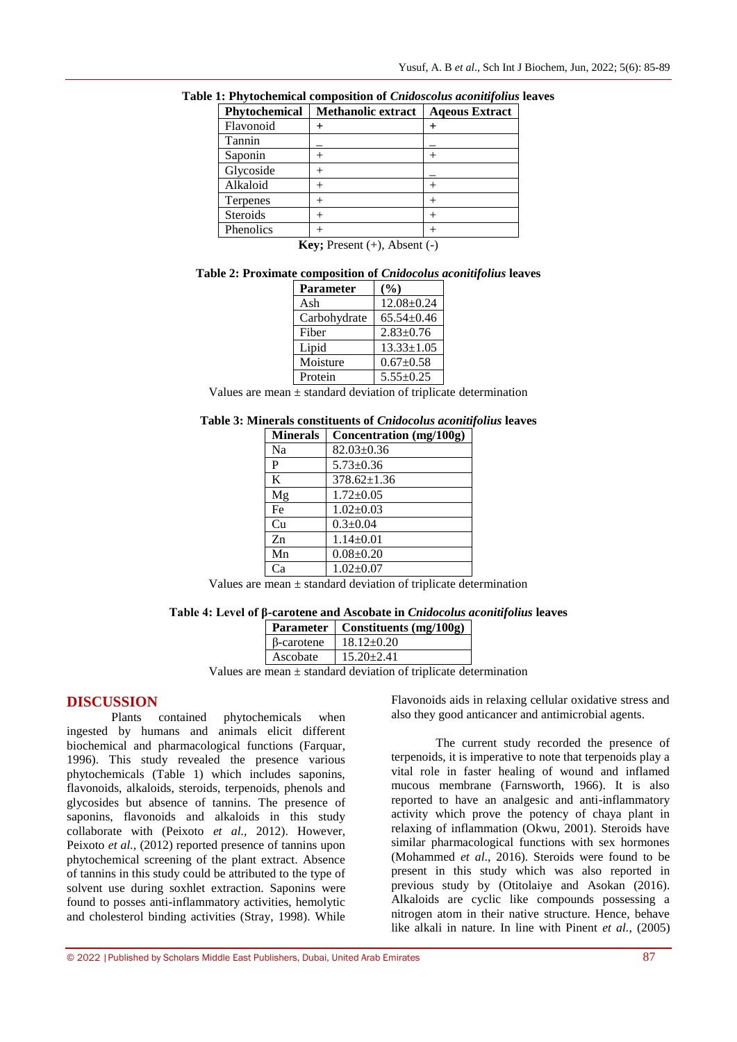| Phytochemical   | <b>Methanolic extract</b> | <b>Ageous Extract</b> |
|-----------------|---------------------------|-----------------------|
| Flavonoid       |                           |                       |
| Tannin          |                           |                       |
| Saponin         |                           |                       |
| Glycoside       |                           |                       |
| Alkaloid        |                           |                       |
| Terpenes        |                           |                       |
| <b>Steroids</b> |                           |                       |
| Phenolics       |                           |                       |

**Table 1: Phytochemical composition of** *Cnidoscolus aconitifolius* **leaves**

**Key;** Present  $(+)$ , Absent  $(-)$ 

**Table 2: Proximate composition of** *Cnidocolus aconitifolius* **leaves**

| Parameter    | $($ %)           |
|--------------|------------------|
| Ash          | $12.08 \pm 0.24$ |
| Carbohydrate | $65.54 \pm 0.46$ |
| Fiber        | $2.83 \pm 0.76$  |
| Lipid        | $13.33 \pm 1.05$ |
| Moisture     | $0.67 \pm 0.58$  |
| Protein      | $5.55 \pm 0.25$  |

Values are mean ± standard deviation of triplicate determination

| Table 3: Minerals constituents of Cnidocolus aconitifolius leaves |  |  |  |
|-------------------------------------------------------------------|--|--|--|
|-------------------------------------------------------------------|--|--|--|

| <b>Minerals</b> | Concentration (mg/100g) |
|-----------------|-------------------------|
| Na              | $82.03 \pm 0.36$        |
| P               | $5.73 \pm 0.36$         |
| K               | $378.62 \pm 1.36$       |
| Mg              | $1.72 \pm 0.05$         |
| Fe              | $1.02 \pm 0.03$         |
| Cu              | $0.3 \pm 0.04$          |
| Zn              | $1.14 \pm 0.01$         |
| Mn              | $0.08 + 0.20$           |
| Са              | $1.02+0.07$             |

Values are mean  $\pm$  standard deviation of triplicate determination

### **Table 4: Level of β-carotene and Ascobate in** *Cnidocolus aconitifolius* **leaves**

|                   | Parameter   Constituents (mg/100g)  |  |
|-------------------|-------------------------------------|--|
| $\beta$ -carotene | $18.12 \pm 0.20$                    |  |
| Ascobate          | $15.20 \pm 2.41$                    |  |
|                   | ana dan dari shi a mafini di sana d |  |

Values are mean ± standard deviation of triplicate determination

# **DISCUSSION**

Plants contained phytochemicals when ingested by humans and animals elicit different biochemical and pharmacological functions (Farquar, 1996). This study revealed the presence various phytochemicals (Table 1) which includes saponins, flavonoids, alkaloids, steroids, terpenoids, phenols and glycosides but absence of tannins. The presence of saponins, flavonoids and alkaloids in this study collaborate with (Peixoto *et al.,* 2012). However, Peixoto *et al.*, (2012) reported presence of tannins upon phytochemical screening of the plant extract. Absence of tannins in this study could be attributed to the type of solvent use during soxhlet extraction. Saponins were found to posses anti-inflammatory activities, hemolytic and cholesterol binding activities (Stray, 1998). While

Flavonoids aids in relaxing cellular oxidative stress and also they good anticancer and antimicrobial agents.

The current study recorded the presence of terpenoids, it is imperative to note that terpenoids play a vital role in faster healing of wound and inflamed mucous membrane (Farnsworth, 1966). It is also reported to have an analgesic and anti-inflammatory activity which prove the potency of chaya plant in relaxing of inflammation (Okwu, 2001). Steroids have similar pharmacological functions with sex hormones (Mohammed *et al*., 2016). Steroids were found to be present in this study which was also reported in previous study by (Otitolaiye and Asokan (2016). Alkaloids are cyclic like compounds possessing a nitrogen atom in their native structure. Hence, behave like alkali in nature. In line with Pinent *et al.,* (2005)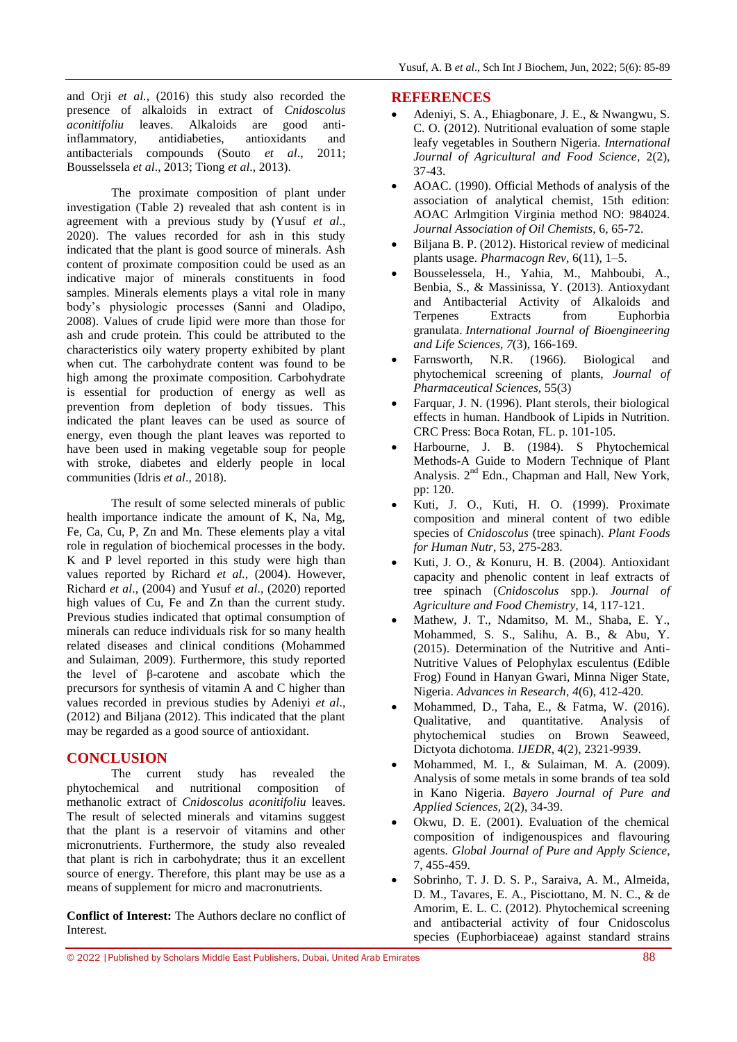and Orji *et al.,* (2016) this study also recorded the presence of alkaloids in extract of *Cnidoscolus aconitifoliu* leaves. Alkaloids are good antiinflammatory, antidiabeties, antioxidants and antibacterials compounds (Souto *et al*., 2011; Bousselssela *et al*., 2013; Tiong *et al*., 2013).

The proximate composition of plant under investigation (Table 2) revealed that ash content is in agreement with a previous study by (Yusuf *et al*., 2020). The values recorded for ash in this study indicated that the plant is good source of minerals. Ash content of proximate composition could be used as an indicative major of minerals constituents in food samples. Minerals elements plays a vital role in many body's physiologic processes (Sanni and Oladipo, 2008). Values of crude lipid were more than those for ash and crude protein. This could be attributed to the characteristics oily watery property exhibited by plant when cut. The carbohydrate content was found to be high among the proximate composition. Carbohydrate is essential for production of energy as well as prevention from depletion of body tissues. This indicated the plant leaves can be used as source of energy, even though the plant leaves was reported to have been used in making vegetable soup for people with stroke, diabetes and elderly people in local communities (Idris *et al*., 2018).

The result of some selected minerals of public health importance indicate the amount of K, Na, Mg, Fe, Ca, Cu, P, Zn and Mn. These elements play a vital role in regulation of biochemical processes in the body. K and P level reported in this study were high than values reported by Richard *et al.,* (2004). However, Richard *et al*., (2004) and Yusuf *et al*., (2020) reported high values of Cu, Fe and Zn than the current study. Previous studies indicated that optimal consumption of minerals can reduce individuals risk for so many health related diseases and clinical conditions (Mohammed and Sulaiman, 2009). Furthermore, this study reported the level of β-carotene and ascobate which the precursors for synthesis of vitamin A and C higher than values recorded in previous studies by Adeniyi *et al*., (2012) and Biljana (2012). This indicated that the plant may be regarded as a good source of antioxidant.

# **CONCLUSION**

The current study has revealed the phytochemical and nutritional composition of methanolic extract of *Cnidoscolus aconitifoliu* leaves. The result of selected minerals and vitamins suggest that the plant is a reservoir of vitamins and other micronutrients. Furthermore, the study also revealed that plant is rich in carbohydrate; thus it an excellent source of energy. Therefore, this plant may be use as a means of supplement for micro and macronutrients.

**Conflict of Interest:** The Authors declare no conflict of Interest.

#### **REFERENCES**

- Adeniyi, S. A., Ehiagbonare, J. E., & Nwangwu, S. C. O. (2012). Nutritional evaluation of some staple leafy vegetables in Southern Nigeria. *International Journal of Agricultural and Food Science*, 2(2), 37-43.
- AOAC. (1990). Official Methods of analysis of the association of analytical chemist, 15th edition: AOAC Arlmgition Virginia method NO: 984024. *Journal Association of Oil Chemists*, 6, 65-72.
- Biljana B. P. (2012). Historical review of medicinal plants usage. *Pharmacogn Rev*, 6(11), 1–5.
- Bousselessela, H., Yahia, M., Mahboubi, A., Benbia, S., & Massinissa, Y. (2013). Antioxydant and Antibacterial Activity of Alkaloids and Terpenes Extracts from Euphorbia granulata. *International Journal of Bioengineering and Life Sciences*, *7*(3), 166-169.
- Farnsworth, N.R. (1966). Biological and phytochemical screening of plants, *Journal of Pharmaceutical Sciences,* 55(3)
- Farquar, J. N. (1996). Plant sterols, their biological effects in human. Handbook of Lipids in Nutrition. CRC Press: Boca Rotan, FL. p. 101-105.
- Harbourne, J. B. (1984). S Phytochemical Methods-A Guide to Modern Technique of Plant Analysis. 2<sup>nd</sup> Edn., Chapman and Hall, New York, pp: 120.
- Kuti, J. O., Kuti, H. O. (1999). Proximate composition and mineral content of two edible species of *Cnidoscolus* (tree spinach). *Plant Foods for Human Nutr*, 53, 275-283.
- Kuti, J. O., & Konuru, H. B. (2004). Antioxidant capacity and phenolic content in leaf extracts of tree spinach (*Cnidoscolus* spp.). *Journal of Agriculture and Food Chemistry*, 14, 117-121.
- Mathew, J. T., Ndamitso, M. M., Shaba, E. Y., Mohammed, S. S., Salihu, A. B., & Abu, Y. (2015). Determination of the Nutritive and Anti-Nutritive Values of Pelophylax esculentus (Edible Frog) Found in Hanyan Gwari, Minna Niger State, Nigeria. *Advances in Research*, *4*(6), 412-420.
- Mohammed, D., Taha, E., & Fatma, W. (2016). Qualitative, and quantitative. Analysis of phytochemical studies on Brown Seaweed, Dictyota dichotoma. *IJEDR*, 4(2), 2321-9939.
- Mohammed, M. I., & Sulaiman, M. A. (2009). Analysis of some metals in some brands of tea sold in Kano Nigeria. *Bayero Journal of Pure and Applied Sciences*, 2(2), 34-39.
- Okwu, D. E. (2001). Evaluation of the chemical composition of indigenouspices and flavouring agents. *Global Journal of Pure and Apply Science*, 7, 455-459.
- Sobrinho, T. J. D. S. P., Saraiva, A. M., Almeida, D. M., Tavares, E. A., Pisciottano, M. N. C., & de Amorim, E. L. C. (2012). Phytochemical screening and antibacterial activity of four Cnidoscolus species (Euphorbiaceae) against standard strains

© 2022 |Published by Scholars Middle East Publishers, Dubai, United Arab Emirates 88